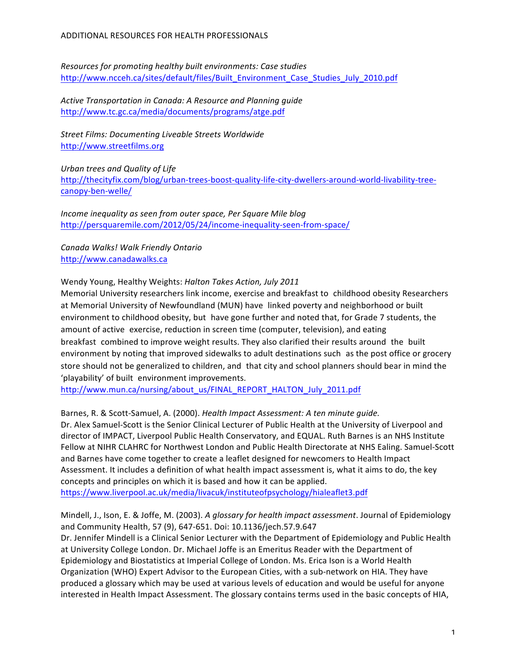*Resources for promoting healthy built environments: Case studies* http://www.ncceh.ca/sites/default/files/Built\_Environment\_Case\_Studies\_July\_2010.pdf

Active Transportation in Canada: A Resource and Planning guide http://www.tc.gc.ca/media/documents/programs/atge.pdf

**Street Films: Documenting Liveable Streets Worldwide** http://www.streetfilms.org

*Urban trees and Quality of Life* http://thecityfix.com/blog/urban-trees-boost-quality-life-city-dwellers-around-world-livability-treecanopy-ben-welle/

*Income inequality as seen from outer space, Per Square Mile blog* http://persquaremile.com/2012/05/24/income-inequality-seen-from-space/ 

*Canada Walks! Walk Friendly Ontario* http://www.canadawalks.ca

Wendy Young, Healthy Weights: Halton Takes Action, July 2011

Memorial University researchers link income, exercise and breakfast to childhood obesity Researchers at Memorial University of Newfoundland (MUN) have linked poverty and neighborhood or built environment to childhood obesity, but have gone further and noted that, for Grade 7 students, the amount of active exercise, reduction in screen time (computer, television), and eating breakfast combined to improve weight results. They also clarified their results around the built environment by noting that improved sidewalks to adult destinations such as the post office or grocery store should not be generalized to children, and that city and school planners should bear in mind the 'playability' of built environment improvements.

http://www.mun.ca/nursing/about\_us/FINAL\_REPORT\_HALTON\_July\_2011.pdf

Barnes, R. & Scott-Samuel, A. (2000). *Health Impact Assessment: A ten minute guide.* Dr. Alex Samuel-Scott is the Senior Clinical Lecturer of Public Health at the University of Liverpool and director of IMPACT, Liverpool Public Health Conservatory, and EQUAL. Ruth Barnes is an NHS Institute Fellow at NIHR CLAHRC for Northwest London and Public Health Directorate at NHS Ealing. Samuel-Scott and Barnes have come together to create a leaflet designed for newcomers to Health Impact Assessment. It includes a definition of what health impact assessment is, what it aims to do, the key concepts and principles on which it is based and how it can be applied. https://www.liverpool.ac.uk/media/livacuk/instituteofpsychology/hialeaflet3.pdf

Mindell, J., Ison, E. & Joffe, M. (2003). A glossary for health impact assessment. Journal of Epidemiology and Community Health, 57 (9), 647-651. Doi: 10.1136/jech.57.9.647 Dr. Jennifer Mindell is a Clinical Senior Lecturer with the Department of Epidemiology and Public Health at University College London. Dr. Michael Joffe is an Emeritus Reader with the Department of Epidemiology and Biostatistics at Imperial College of London. Ms. Erica Ison is a World Health Organization (WHO) Expert Advisor to the European Cities, with a sub-network on HIA. They have produced a glossary which may be used at various levels of education and would be useful for anyone interested in Health Impact Assessment. The glossary contains terms used in the basic concepts of HIA,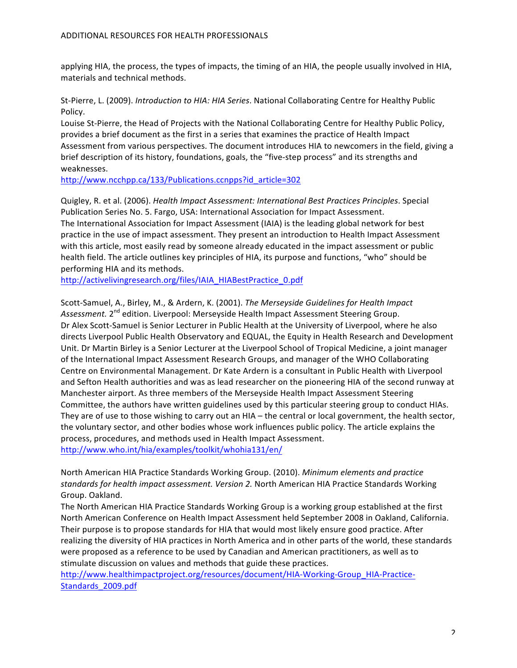applying HIA, the process, the types of impacts, the timing of an HIA, the people usually involved in HIA, materials and technical methods.

St-Pierre, L. (2009). *Introduction to HIA: HIA Series*. National Collaborating Centre for Healthy Public Policy.

Louise St-Pierre, the Head of Projects with the National Collaborating Centre for Healthy Public Policy, provides a brief document as the first in a series that examines the practice of Health Impact Assessment from various perspectives. The document introduces HIA to newcomers in the field, giving a brief description of its history, foundations, goals, the "five-step process" and its strengths and weaknesses. 

http://www.ncchpp.ca/133/Publications.ccnpps?id\_article=302

Quigley, R. et al. (2006). *Health Impact Assessment: International Best Practices Principles*. Special Publication Series No. 5. Fargo, USA: International Association for Impact Assessment. The International Association for Impact Assessment (IAIA) is the leading global network for best practice in the use of impact assessment. They present an introduction to Health Impact Assessment with this article, most easily read by someone already educated in the impact assessment or public health field. The article outlines key principles of HIA, its purpose and functions, "who" should be performing HIA and its methods.

http://activelivingresearch.org/files/IAIA\_HIABestPractice\_0.pdf

Scott-Samuel, A., Birley, M., & Ardern, K. (2001). *The Merseyside Guidelines for Health Impact* Assessment. 2<sup>nd</sup> edition. Liverpool: Merseyside Health Impact Assessment Steering Group. Dr Alex Scott-Samuel is Senior Lecturer in Public Health at the University of Liverpool, where he also directs Liverpool Public Health Observatory and EQUAL, the Equity in Health Research and Development Unit. Dr Martin Birley is a Senior Lecturer at the Liverpool School of Tropical Medicine, a joint manager of the International Impact Assessment Research Groups, and manager of the WHO Collaborating Centre on Environmental Management. Dr Kate Ardern is a consultant in Public Health with Liverpool and Sefton Health authorities and was as lead researcher on the pioneering HIA of the second runway at Manchester airport. As three members of the Merseyside Health Impact Assessment Steering Committee, the authors have written guidelines used by this particular steering group to conduct HIAs. They are of use to those wishing to carry out an HIA – the central or local government, the health sector, the voluntary sector, and other bodies whose work influences public policy. The article explains the process, procedures, and methods used in Health Impact Assessment. http://www.who.int/hia/examples/toolkit/whohia131/en/

North American HIA Practice Standards Working Group. (2010). *Minimum elements and practice* standards for health impact assessment. Version 2. North American HIA Practice Standards Working Group. Oakland.

The North American HIA Practice Standards Working Group is a working group established at the first North American Conference on Health Impact Assessment held September 2008 in Oakland, California. Their purpose is to propose standards for HIA that would most likely ensure good practice. After realizing the diversity of HIA practices in North America and in other parts of the world, these standards were proposed as a reference to be used by Canadian and American practitioners, as well as to stimulate discussion on values and methods that guide these practices.

http://www.healthimpactproject.org/resources/document/HIA-Working-Group\_HIA-Practice-Standards\_2009.pdf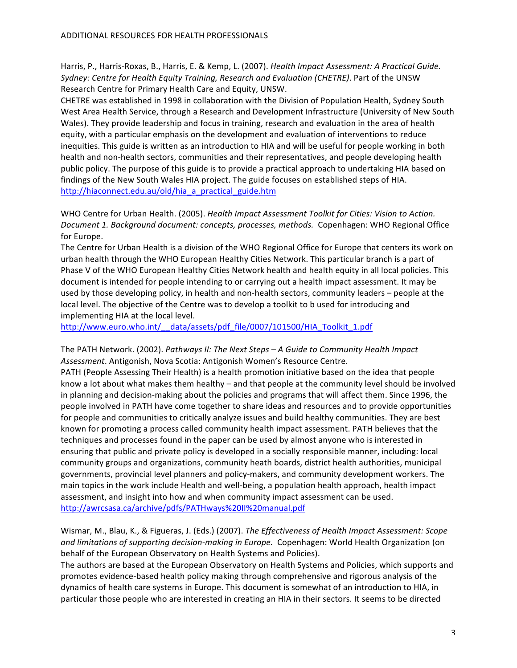Harris, P., Harris-Roxas, B., Harris, E. & Kemp, L. (2007). *Health Impact Assessment: A Practical Guide.* Sydney: Centre for Health Equity Training, Research and Evaluation (CHETRE). Part of the UNSW Research Centre for Primary Health Care and Equity, UNSW.

CHETRE was established in 1998 in collaboration with the Division of Population Health, Sydney South West Area Health Service, through a Research and Development Infrastructure (University of New South Wales). They provide leadership and focus in training, research and evaluation in the area of health equity, with a particular emphasis on the development and evaluation of interventions to reduce inequities. This guide is written as an introduction to HIA and will be useful for people working in both health and non-health sectors, communities and their representatives, and people developing health public policy. The purpose of this guide is to provide a practical approach to undertaking HIA based on findings of the New South Wales HIA project. The guide focuses on established steps of HIA. http://hiaconnect.edu.au/old/hia\_a\_practical\_guide.htm

WHO Centre for Urban Health. (2005). *Health Impact Assessment Toolkit for Cities: Vision to Action.* Document 1. Background document: concepts, processes, methods. Copenhagen: WHO Regional Office for Europe.

The Centre for Urban Health is a division of the WHO Regional Office for Europe that centers its work on urban health through the WHO European Healthy Cities Network. This particular branch is a part of Phase V of the WHO European Healthy Cities Network health and health equity in all local policies. This document is intended for people intending to or carrying out a health impact assessment. It may be used by those developing policy, in health and non-health sectors, community leaders – people at the local level. The objective of the Centre was to develop a toolkit to b used for introducing and implementing HIA at the local level.

http://www.euro.who.int/ data/assets/pdf file/0007/101500/HIA\_Toolkit\_1.pdf

The PATH Network. (2002). *Pathways II: The Next Steps – A Guide to Community Health Impact* Assessment. Antigonish, Nova Scotia: Antigonish Women's Resource Centre.

PATH (People Assessing Their Health) is a health promotion initiative based on the idea that people know a lot about what makes them healthy – and that people at the community level should be involved in planning and decision-making about the policies and programs that will affect them. Since 1996, the people involved in PATH have come together to share ideas and resources and to provide opportunities for people and communities to critically analyze issues and build healthy communities. They are best known for promoting a process called community health impact assessment. PATH believes that the techniques and processes found in the paper can be used by almost anyone who is interested in ensuring that public and private policy is developed in a socially responsible manner, including: local community groups and organizations, community heath boards, district health authorities, municipal governments, provincial level planners and policy-makers, and community development workers. The main topics in the work include Health and well-being, a population health approach, health impact assessment, and insight into how and when community impact assessment can be used. http://awrcsasa.ca/archive/pdfs/PATHways%20II%20manual.pdf

Wismar, M., Blau, K., & Figueras, J. (Eds.) (2007). *The Effectiveness of Health Impact Assessment: Scope* and limitations of supporting decision-making in Europe. Copenhagen: World Health Organization (on behalf of the European Observatory on Health Systems and Policies).

The authors are based at the European Observatory on Health Systems and Policies, which supports and promotes evidence-based health policy making through comprehensive and rigorous analysis of the dynamics of health care systems in Europe. This document is somewhat of an introduction to HIA, in particular those people who are interested in creating an HIA in their sectors. It seems to be directed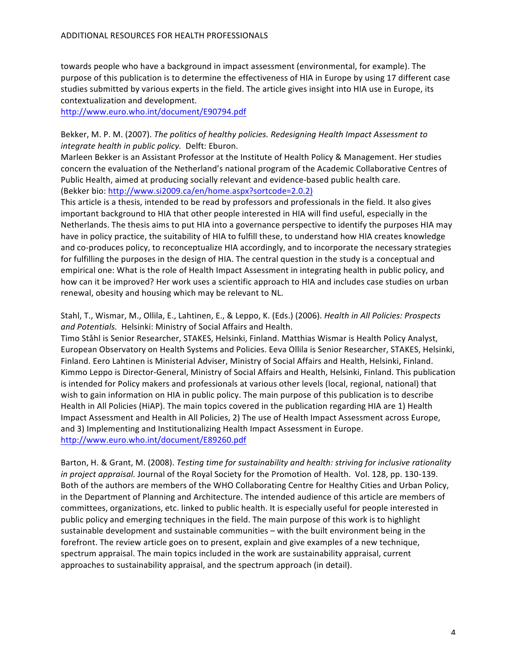towards people who have a background in impact assessment (environmental, for example). The purpose of this publication is to determine the effectiveness of HIA in Europe by using 17 different case studies submitted by various experts in the field. The article gives insight into HIA use in Europe, its contextualization and development.

http://www.euro.who.int/document/E90794.pdf

Bekker, M. P. M. (2007). *The politics of healthy policies. Redesigning Health Impact Assessment to integrate health in public policy.* Delft: Eburon.

Marleen Bekker is an Assistant Professor at the Institute of Health Policy & Management. Her studies concern the evaluation of the Netherland's national program of the Academic Collaborative Centres of Public Health, aimed at producing socially relevant and evidence-based public health care. (Bekker bio: http://www.si2009.ca/en/home.aspx?sortcode=2.0.2)

This article is a thesis, intended to be read by professors and professionals in the field. It also gives important background to HIA that other people interested in HIA will find useful, especially in the Netherlands. The thesis aims to put HIA into a governance perspective to identify the purposes HIA may have in policy practice, the suitability of HIA to fulfill these, to understand how HIA creates knowledge and co-produces policy, to reconceptualize HIA accordingly, and to incorporate the necessary strategies for fulfilling the purposes in the design of HIA. The central question in the study is a conceptual and empirical one: What is the role of Health Impact Assessment in integrating health in public policy, and how can it be improved? Her work uses a scientific approach to HIA and includes case studies on urban renewal, obesity and housing which may be relevant to NL.

Stahl, T., Wismar, M., Ollila, E., Lahtinen, E., & Leppo, K. (Eds.) (2006). *Health in All Policies: Prospects* and Potentials. Helsinki: Ministry of Social Affairs and Health.

Timo Ståhl is Senior Researcher, STAKES, Helsinki, Finland. Matthias Wismar is Health Policy Analyst, European Observatory on Health Systems and Policies. Eeva Ollila is Senior Researcher, STAKES, Helsinki, Finland. Eero Lahtinen is Ministerial Adviser, Ministry of Social Affairs and Health, Helsinki, Finland. Kimmo Leppo is Director-General, Ministry of Social Affairs and Health, Helsinki, Finland. This publication is intended for Policy makers and professionals at various other levels (local, regional, national) that wish to gain information on HIA in public policy. The main purpose of this publication is to describe Health in All Policies (HiAP). The main topics covered in the publication regarding HIA are 1) Health Impact Assessment and Health in All Policies, 2) The use of Health Impact Assessment across Europe, and 3) Implementing and Institutionalizing Health Impact Assessment in Europe. http://www.euro.who.int/document/E89260.pdf

Barton, H. & Grant, M. (2008). *Testing time for sustainability and health: striving for inclusive rationality in project appraisal.* Journal of the Royal Society for the Promotion of Health. Vol. 128, pp. 130-139. Both of the authors are members of the WHO Collaborating Centre for Healthy Cities and Urban Policy, in the Department of Planning and Architecture. The intended audience of this article are members of committees, organizations, etc. linked to public health. It is especially useful for people interested in public policy and emerging techniques in the field. The main purpose of this work is to highlight sustainable development and sustainable communities  $-$  with the built environment being in the forefront. The review article goes on to present, explain and give examples of a new technique, spectrum appraisal. The main topics included in the work are sustainability appraisal, current approaches to sustainability appraisal, and the spectrum approach (in detail).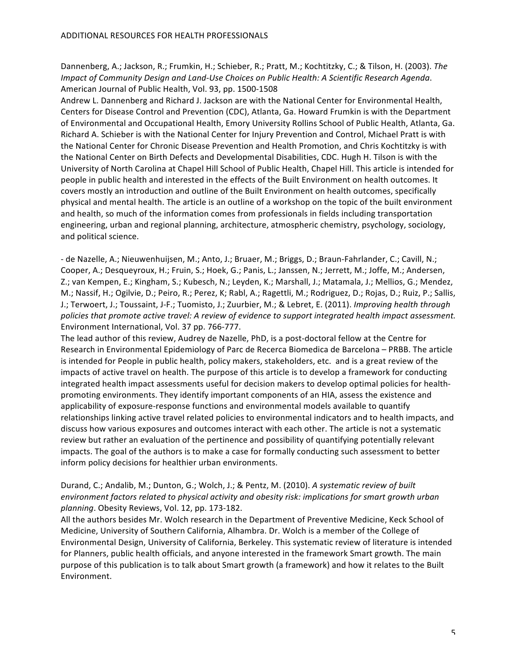Dannenberg, A.; Jackson, R.; Frumkin, H.; Schieber, R.; Pratt, M.; Kochtitzky, C.; & Tilson, H. (2003). The *Impact of Community Design and Land-Use Choices on Public Health: A Scientific Research Agenda.* American Journal of Public Health, Vol. 93, pp. 1500-1508

Andrew L. Dannenberg and Richard J. Jackson are with the National Center for Environmental Health, Centers for Disease Control and Prevention (CDC), Atlanta, Ga. Howard Frumkin is with the Department of Environmental and Occupational Health, Emory University Rollins School of Public Health, Atlanta, Ga. Richard A. Schieber is with the National Center for Injury Prevention and Control, Michael Pratt is with the National Center for Chronic Disease Prevention and Health Promotion, and Chris Kochtitzky is with the National Center on Birth Defects and Developmental Disabilities, CDC. Hugh H. Tilson is with the University of North Carolina at Chapel Hill School of Public Health, Chapel Hill. This article is intended for people in public health and interested in the effects of the Built Environment on health outcomes. It covers mostly an introduction and outline of the Built Environment on health outcomes, specifically physical and mental health. The article is an outline of a workshop on the topic of the built environment and health, so much of the information comes from professionals in fields including transportation engineering, urban and regional planning, architecture, atmospheric chemistry, psychology, sociology, and political science.

- de Nazelle, A.; Nieuwenhuijsen, M.; Anto, J.; Bruaer, M.; Briggs, D.; Braun-Fahrlander, C.; Cavill, N.; Cooper, A.; Desqueyroux, H.; Fruin, S.; Hoek, G.; Panis, L.; Janssen, N.; Jerrett, M.; Joffe, M.; Andersen, Z.; van Kempen, E.; Kingham, S.; Kubesch, N.; Leyden, K.; Marshall, J.; Matamala, J.; Mellios, G.; Mendez, M.; Nassif, H.; Ogilvie, D.; Peiro, R.; Perez, K; Rabl, A.; Ragettli, M.; Rodriguez, D.; Rojas, D.; Ruiz, P.; Sallis, J.; Terwoert, J.; Toussaint, J-F.; Tuomisto, J.; Zuurbier, M.; & Lebret, E. (2011). *Improving health through* policies that promote active travel: A review of evidence to support integrated health impact assessment. Environment International, Vol. 37 pp. 766-777.

The lead author of this review, Audrey de Nazelle, PhD, is a post-doctoral fellow at the Centre for Research in Environmental Epidemiology of Parc de Recerca Biomedica de Barcelona – PRBB. The article is intended for People in public health, policy makers, stakeholders, etc. and is a great review of the impacts of active travel on health. The purpose of this article is to develop a framework for conducting integrated health impact assessments useful for decision makers to develop optimal policies for healthpromoting environments. They identify important components of an HIA, assess the existence and applicability of exposure-response functions and environmental models available to quantify relationships linking active travel related policies to environmental indicators and to health impacts, and discuss how various exposures and outcomes interact with each other. The article is not a systematic review but rather an evaluation of the pertinence and possibility of quantifying potentially relevant impacts. The goal of the authors is to make a case for formally conducting such assessment to better inform policy decisions for healthier urban environments.

## Durand, C.; Andalib, M.; Dunton, G.; Wolch, J.; & Pentz, M. (2010). A systematic review of built *environment factors related to physical activity and obesity risk: implications for smart growth urban* planning. Obesity Reviews, Vol. 12, pp. 173-182.

All the authors besides Mr. Wolch research in the Department of Preventive Medicine, Keck School of Medicine, University of Southern California, Alhambra. Dr. Wolch is a member of the College of Environmental Design, University of California, Berkeley. This systematic review of literature is intended for Planners, public health officials, and anyone interested in the framework Smart growth. The main purpose of this publication is to talk about Smart growth (a framework) and how it relates to the Built Environment.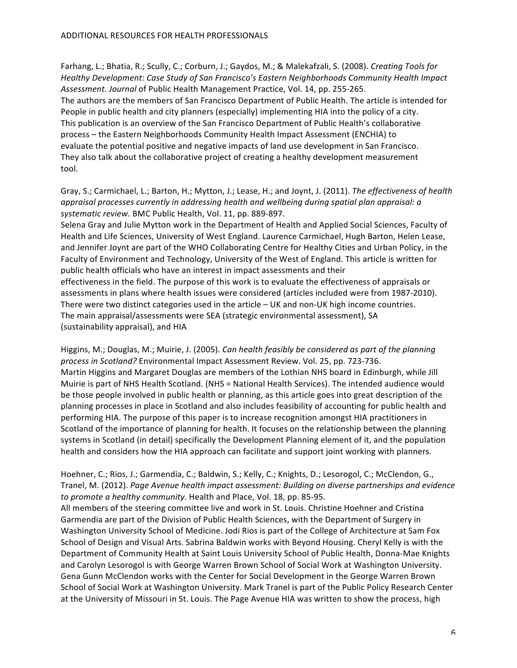Farhang, L.; Bhatia, R.; Scully, C.; Corburn, J.; Gaydos, M.; & Malekafzali, S. (2008). *Creating Tools for* Healthy Development: Case Study of San Francisco's Eastern Neighborhoods Community Health Impact Assessment. Journal of Public Health Management Practice, Vol. 14, pp. 255-265. The authors are the members of San Francisco Department of Public Health. The article is intended for People in public health and city planners (especially) implementing HIA into the policy of a city. This publication is an overview of the San Francisco Department of Public Health's collaborative process - the Eastern Neighborhoods Community Health Impact Assessment (ENCHIA) to evaluate the potential positive and negative impacts of land use development in San Francisco. They also talk about the collaborative project of creating a healthy development measurement tool.

Gray, S.; Carmichael, L.; Barton, H.; Mytton, J.; Lease, H.; and Joynt, J. (2011). The effectiveness of health *appraisal processes currently in addressing health and wellbeing during spatial plan appraisal: a* systematic review. BMC Public Health, Vol. 11, pp. 889-897.

Selena Gray and Julie Mytton work in the Department of Health and Applied Social Sciences, Faculty of Health and Life Sciences, University of West England. Laurence Carmichael, Hugh Barton, Helen Lease, and Jennifer Joynt are part of the WHO Collaborating Centre for Healthy Cities and Urban Policy, in the Faculty of Environment and Technology, University of the West of England. This article is written for public health officials who have an interest in impact assessments and their effectiveness in the field. The purpose of this work is to evaluate the effectiveness of appraisals or assessments in plans where health issues were considered (articles included were from 1987-2010). There were two distinct categories used in the article  $- UK$  and non-UK high income countries. The main appraisal/assessments were SEA (strategic environmental assessment), SA (sustainability appraisal), and HIA

Higgins, M.; Douglas, M.; Muirie, J. (2005). *Can health feasibly be considered as part of the planning* process in Scotland? Environmental Impact Assessment Review. Vol. 25, pp. 723-736. Martin Higgins and Margaret Douglas are members of the Lothian NHS board in Edinburgh, while Jill Muirie is part of NHS Health Scotland. (NHS = National Health Services). The intended audience would be those people involved in public health or planning, as this article goes into great description of the planning processes in place in Scotland and also includes feasibility of accounting for public health and performing HIA. The purpose of this paper is to increase recognition amongst HIA practitioners in Scotland of the importance of planning for health. It focuses on the relationship between the planning systems in Scotland (in detail) specifically the Development Planning element of it, and the population health and considers how the HIA approach can facilitate and support joint working with planners.

# Hoehner, C.; Rios, J.; Garmendia, C.; Baldwin, S.; Kelly, C.; Knights, D.; Lesorogol, C.; McClendon, G., Tranel, M. (2012). Page Avenue health impact assessment: Building on diverse partnerships and evidence *to promote a healthy community*. Health and Place, Vol. 18, pp. 85-95.

All members of the steering committee live and work in St. Louis. Christine Hoehner and Cristina Garmendia are part of the Division of Public Health Sciences, with the Department of Surgery in Washington University School of Medicine. Jodi Rios is part of the College of Architecture at Sam Fox School of Design and Visual Arts. Sabrina Baldwin works with Beyond Housing. Cheryl Kelly is with the Department of Community Health at Saint Louis University School of Public Health, Donna-Mae Knights and Carolyn Lesorogol is with George Warren Brown School of Social Work at Washington University. Gena Gunn McClendon works with the Center for Social Development in the George Warren Brown School of Social Work at Washington University. Mark Tranel is part of the Public Policy Research Center at the University of Missouri in St. Louis. The Page Avenue HIA was written to show the process, high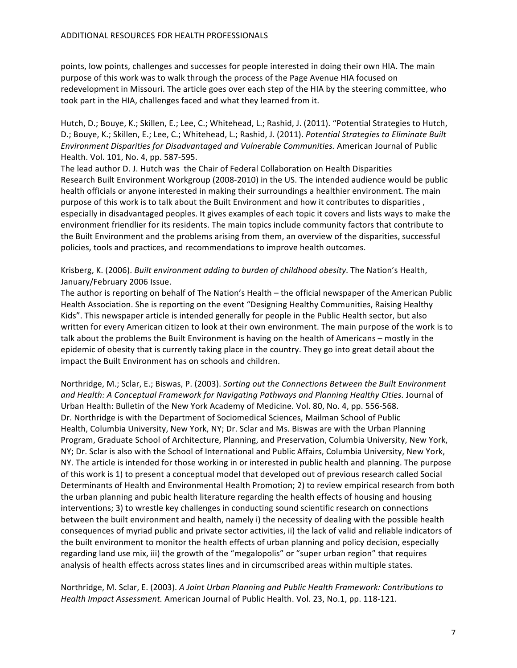points, low points, challenges and successes for people interested in doing their own HIA. The main purpose of this work was to walk through the process of the Page Avenue HIA focused on redevelopment in Missouri. The article goes over each step of the HIA by the steering committee, who took part in the HIA, challenges faced and what they learned from it.

Hutch, D.; Bouye, K.; Skillen, E.; Lee, C.; Whitehead, L.; Rashid, J. (2011). "Potential Strategies to Hutch, D.; Bouye, K.; Skillen, E.; Lee, C.; Whitehead, L.; Rashid, J. (2011). *Potential Strategies to Eliminate Built Environment Disparities for Disadvantaged and Vulnerable Communities.* American Journal of Public Health. Vol. 101, No. 4, pp. 587-595.

The lead author D. J. Hutch was the Chair of Federal Collaboration on Health Disparities Research Built Environment Workgroup (2008-2010) in the US. The intended audience would be public health officials or anyone interested in making their surroundings a healthier environment. The main purpose of this work is to talk about the Built Environment and how it contributes to disparities, especially in disadvantaged peoples. It gives examples of each topic it covers and lists ways to make the environment friendlier for its residents. The main topics include community factors that contribute to the Built Environment and the problems arising from them, an overview of the disparities, successful policies, tools and practices, and recommendations to improve health outcomes.

### Krisberg, K. (2006). *Built environment adding to burden of childhood obesity*. The Nation's Health, January/February 2006 Issue.

The author is reporting on behalf of The Nation's Health – the official newspaper of the American Public Health Association. She is reporting on the event "Designing Healthy Communities, Raising Healthy Kids". This newspaper article is intended generally for people in the Public Health sector, but also written for every American citizen to look at their own environment. The main purpose of the work is to talk about the problems the Built Environment is having on the health of Americans – mostly in the epidemic of obesity that is currently taking place in the country. They go into great detail about the impact the Built Environment has on schools and children.

Northridge, M.; Sclar, E.; Biswas, P. (2003). *Sorting out the Connections Between the Built Environment* and Health: A Conceptual Framework for Navigating Pathways and Planning Healthy Cities. Journal of Urban Health: Bulletin of the New York Academy of Medicine. Vol. 80, No. 4, pp. 556-568. Dr. Northridge is with the Department of Sociomedical Sciences, Mailman School of Public Health, Columbia University, New York, NY; Dr. Sclar and Ms. Biswas are with the Urban Planning Program, Graduate School of Architecture, Planning, and Preservation, Columbia University, New York, NY; Dr. Sclar is also with the School of International and Public Affairs, Columbia University, New York, NY. The article is intended for those working in or interested in public health and planning. The purpose of this work is 1) to present a conceptual model that developed out of previous research called Social Determinants of Health and Environmental Health Promotion; 2) to review empirical research from both the urban planning and pubic health literature regarding the health effects of housing and housing interventions; 3) to wrestle key challenges in conducting sound scientific research on connections between the built environment and health, namely i) the necessity of dealing with the possible health consequences of myriad public and private sector activities, ii) the lack of valid and reliable indicators of the built environment to monitor the health effects of urban planning and policy decision, especially regarding land use mix, iii) the growth of the "megalopolis" or "super urban region" that requires analysis of health effects across states lines and in circumscribed areas within multiple states.

Northridge, M. Sclar, E. (2003). *A Joint Urban Planning and Public Health Framework: Contributions to Health Impact Assessment.* American Journal of Public Health. Vol. 23, No.1, pp. 118-121.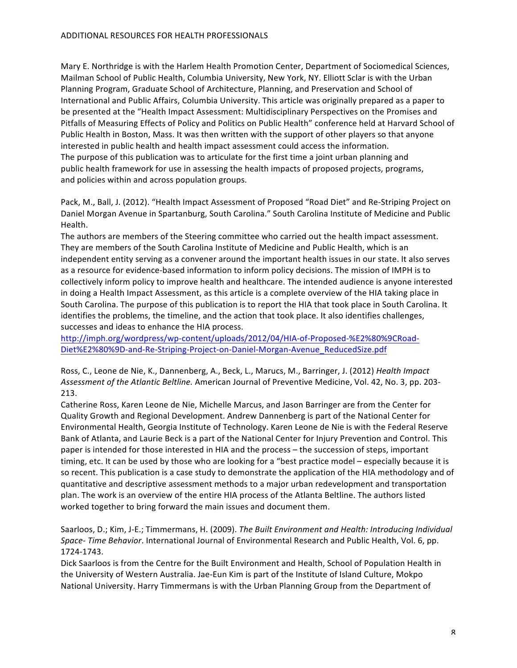Mary E. Northridge is with the Harlem Health Promotion Center, Department of Sociomedical Sciences, Mailman School of Public Health, Columbia University, New York, NY. Elliott Sclar is with the Urban Planning Program, Graduate School of Architecture, Planning, and Preservation and School of International and Public Affairs, Columbia University. This article was originally prepared as a paper to be presented at the "Health Impact Assessment: Multidisciplinary Perspectives on the Promises and Pitfalls of Measuring Effects of Policy and Politics on Public Health" conference held at Harvard School of Public Health in Boston, Mass. It was then written with the support of other players so that anyone interested in public health and health impact assessment could access the information. The purpose of this publication was to articulate for the first time a joint urban planning and public health framework for use in assessing the health impacts of proposed projects, programs, and policies within and across population groups.

Pack, M., Ball, J. (2012). "Health Impact Assessment of Proposed "Road Diet" and Re-Striping Project on Daniel Morgan Avenue in Spartanburg, South Carolina." South Carolina Institute of Medicine and Public Health.

The authors are members of the Steering committee who carried out the health impact assessment. They are members of the South Carolina Institute of Medicine and Public Health, which is an independent entity serving as a convener around the important health issues in our state. It also serves as a resource for evidence-based information to inform policy decisions. The mission of IMPH is to collectively inform policy to improve health and healthcare. The intended audience is anyone interested in doing a Health Impact Assessment, as this article is a complete overview of the HIA taking place in South Carolina. The purpose of this publication is to report the HIA that took place in South Carolina. It identifies the problems, the timeline, and the action that took place. It also identifies challenges, successes and ideas to enhance the HIA process.

http://imph.org/wordpress/wp-content/uploads/2012/04/HIA-of-Proposed-%E2%80%9CRoad-Diet%E2%80%9D-and-Re-Striping-Project-on-Daniel-Morgan-Avenue\_ReducedSize.pdf

Ross, C., Leone de Nie, K., Dannenberg, A., Beck, L., Marucs, M., Barringer, J. (2012) *Health Impact* Assessment of the Atlantic Beltline. American Journal of Preventive Medicine, Vol. 42, No. 3, pp. 203-213.

Catherine Ross, Karen Leone de Nie, Michelle Marcus, and Jason Barringer are from the Center for Quality Growth and Regional Development. Andrew Dannenberg is part of the National Center for Environmental Health, Georgia Institute of Technology. Karen Leone de Nie is with the Federal Reserve Bank of Atlanta, and Laurie Beck is a part of the National Center for Injury Prevention and Control. This paper is intended for those interested in HIA and the process - the succession of steps, important timing, etc. It can be used by those who are looking for a "best practice model – especially because it is so recent. This publication is a case study to demonstrate the application of the HIA methodology and of quantitative and descriptive assessment methods to a major urban redevelopment and transportation plan. The work is an overview of the entire HIA process of the Atlanta Beltline. The authors listed worked together to bring forward the main issues and document them.

Saarloos, D.; Kim, J-E.; Timmermans, H. (2009). The Built Environment and Health: Introducing Individual Space- Time Behavior. International Journal of Environmental Research and Public Health, Vol. 6, pp. 1724-1743.

Dick Saarloos is from the Centre for the Built Environment and Health, School of Population Health in the University of Western Australia. Jae-Eun Kim is part of the Institute of Island Culture, Mokpo National University. Harry Timmermans is with the Urban Planning Group from the Department of